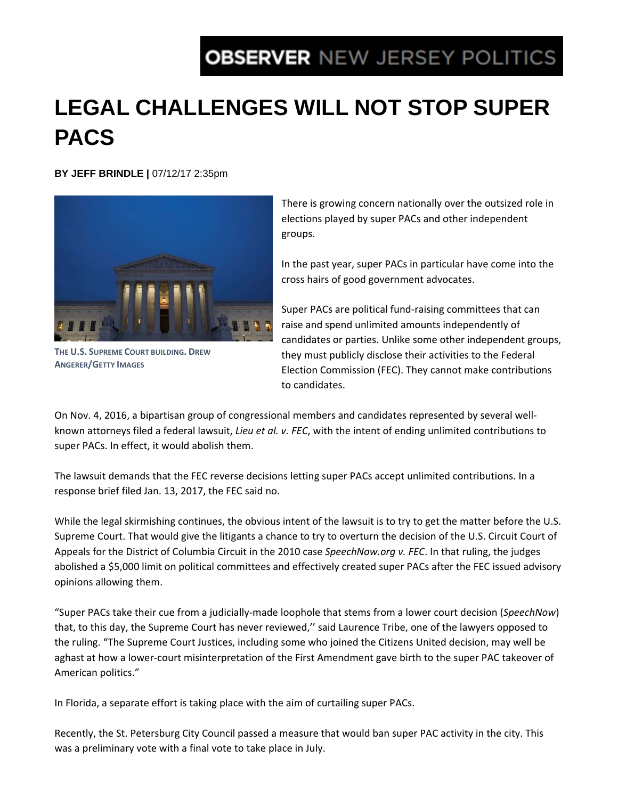## **OBSERVER NEW JERSEY POLITICS**

## **LEGAL CHALLENGES WILL NOT STOP SUPER PACS**

**BY JEFF BRINDLE |** 07/12/17 2:35pm



**THE U.S. SUPREME COURT BUILDING. DREW ANGERER/GETTY IMAGES**

There is growing concern nationally over the outsized role in elections played by super PACs and other independent groups.

In the past year, super PACs in particular have come into the cross hairs of good government advocates.

Super PACs are political fund‐raising committees that can raise and spend unlimited amounts independently of candidates or parties. Unlike some other independent groups, they must publicly disclose their activities to the Federal Election Commission (FEC). They cannot make contributions to candidates.

On Nov. 4, 2016, a bipartisan group of congressional members and candidates represented by several well‐ known attorneys filed a federal lawsuit, *Lieu et al. v. FEC*, with the intent of ending unlimited contributions to super PACs. In effect, it would abolish them.

The lawsuit demands that the FEC reverse decisions letting super PACs accept unlimited contributions. In a response brief filed Jan. 13, 2017, the FEC said no.

While the legal skirmishing continues, the obvious intent of the lawsuit is to try to get the matter before the U.S. Supreme Court. That would give the litigants a chance to try to overturn the decision of the U.S. Circuit Court of Appeals for the District of Columbia Circuit in the 2010 case *SpeechNow.org v. FEC*. In that ruling, the judges abolished a \$5,000 limit on political committees and effectively created super PACs after the FEC issued advisory opinions allowing them.

"Super PACs take their cue from a judicially‐made loophole that stems from a lower court decision (*SpeechNow*) that, to this day, the Supreme Court has never reviewed,'' said Laurence Tribe, one of the lawyers opposed to the ruling. "The Supreme Court Justices, including some who joined the Citizens United decision, may well be aghast at how a lower‐court misinterpretation of the First Amendment gave birth to the super PAC takeover of American politics."

In Florida, a separate effort is taking place with the aim of curtailing super PACs.

Recently, the St. Petersburg City Council passed a measure that would ban super PAC activity in the city. This was a preliminary vote with a final vote to take place in July.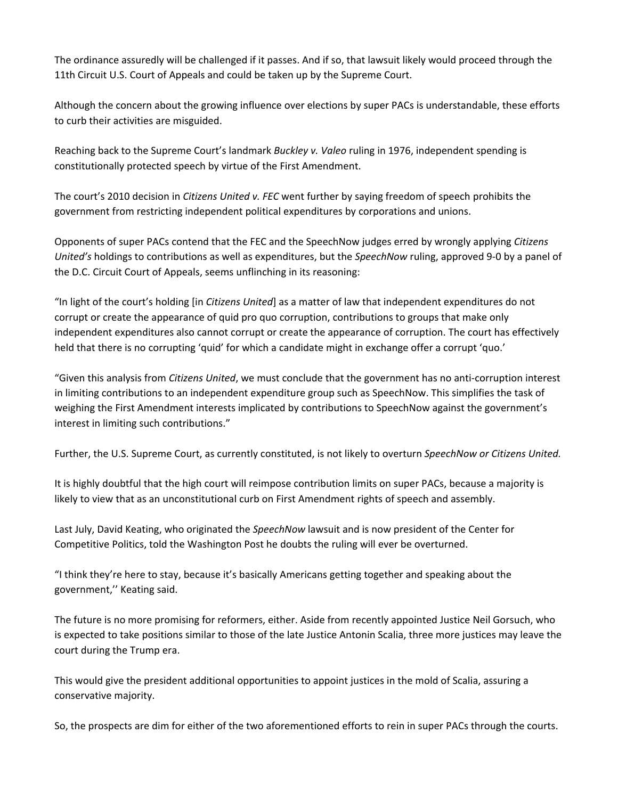The ordinance assuredly will be challenged if it passes. And if so, that lawsuit likely would proceed through the 11th Circuit U.S. Court of Appeals and could be taken up by the Supreme Court.

Although the concern about the growing influence over elections by super PACs is understandable, these efforts to curb their activities are misguided.

Reaching back to the Supreme Court's landmark *Buckley v. Valeo* ruling in 1976, independent spending is constitutionally protected speech by virtue of the First Amendment.

The court's 2010 decision in *Citizens United v. FEC* went further by saying freedom of speech prohibits the government from restricting independent political expenditures by corporations and unions.

Opponents of super PACs contend that the FEC and the SpeechNow judges erred by wrongly applying *Citizens United's* holdings to contributions as well as expenditures, but the *SpeechNow* ruling, approved 9‐0 by a panel of the D.C. Circuit Court of Appeals, seems unflinching in its reasoning:

"In light of the court's holding [in *Citizens United*] as a matter of law that independent expenditures do not corrupt or create the appearance of quid pro quo corruption, contributions to groups that make only independent expenditures also cannot corrupt or create the appearance of corruption. The court has effectively held that there is no corrupting 'quid' for which a candidate might in exchange offer a corrupt 'quo.'

"Given this analysis from *Citizens United*, we must conclude that the government has no anti‐corruption interest in limiting contributions to an independent expenditure group such as SpeechNow. This simplifies the task of weighing the First Amendment interests implicated by contributions to SpeechNow against the government's interest in limiting such contributions."

Further, the U.S. Supreme Court, as currently constituted, is not likely to overturn *SpeechNow or Citizens United.*

It is highly doubtful that the high court will reimpose contribution limits on super PACs, because a majority is likely to view that as an unconstitutional curb on First Amendment rights of speech and assembly.

Last July, David Keating, who originated the *SpeechNow* lawsuit and is now president of the Center for Competitive Politics, told the Washington Post he doubts the ruling will ever be overturned.

"I think they're here to stay, because it's basically Americans getting together and speaking about the government,'' Keating said.

The future is no more promising for reformers, either. Aside from recently appointed Justice Neil Gorsuch, who is expected to take positions similar to those of the late Justice Antonin Scalia, three more justices may leave the court during the Trump era.

This would give the president additional opportunities to appoint justices in the mold of Scalia, assuring a conservative majority.

So, the prospects are dim for either of the two aforementioned efforts to rein in super PACs through the courts.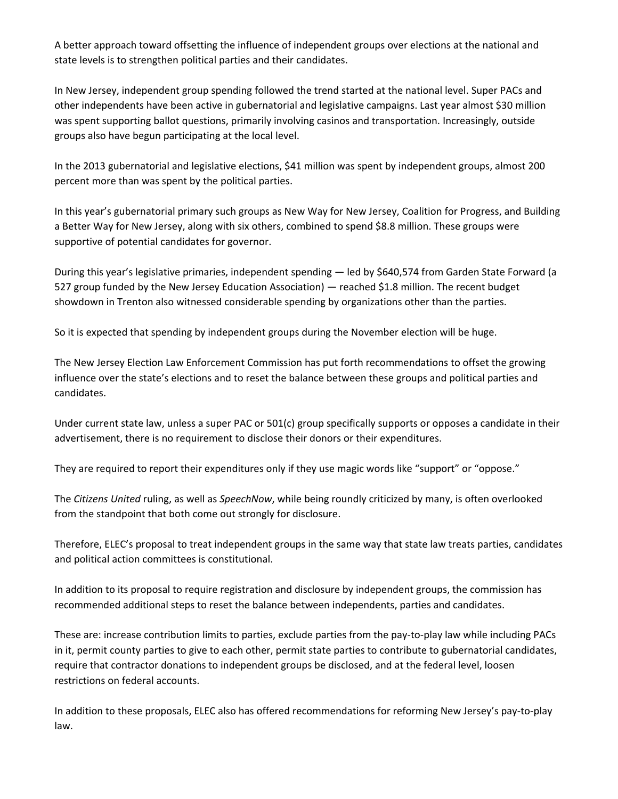A better approach toward offsetting the influence of independent groups over elections at the national and state levels is to strengthen political parties and their candidates.

In New Jersey, independent group spending followed the trend started at the national level. Super PACs and other independents have been active in gubernatorial and legislative campaigns. Last year almost \$30 million was spent supporting ballot questions, primarily involving casinos and transportation. Increasingly, outside groups also have begun participating at the local level.

In the 2013 gubernatorial and legislative elections, \$41 million was spent by independent groups, almost 200 percent more than was spent by the political parties.

In this year's gubernatorial primary such groups as New Way for New Jersey, Coalition for Progress, and Building a Better Way for New Jersey, along with six others, combined to spend \$8.8 million. These groups were supportive of potential candidates for governor.

During this year's legislative primaries, independent spending — led by \$640,574 from Garden State Forward (a 527 group funded by the New Jersey Education Association) — reached \$1.8 million. The recent budget showdown in Trenton also witnessed considerable spending by organizations other than the parties.

So it is expected that spending by independent groups during the November election will be huge.

The New Jersey Election Law Enforcement Commission has put forth recommendations to offset the growing influence over the state's elections and to reset the balance between these groups and political parties and candidates.

Under current state law, unless a super PAC or 501(c) group specifically supports or opposes a candidate in their advertisement, there is no requirement to disclose their donors or their expenditures.

They are required to report their expenditures only if they use magic words like "support" or "oppose."

The *Citizens United* ruling, as well as *SpeechNow*, while being roundly criticized by many, is often overlooked from the standpoint that both come out strongly for disclosure.

Therefore, ELEC's proposal to treat independent groups in the same way that state law treats parties, candidates and political action committees is constitutional.

In addition to its proposal to require registration and disclosure by independent groups, the commission has recommended additional steps to reset the balance between independents, parties and candidates.

These are: increase contribution limits to parties, exclude parties from the pay‐to‐play law while including PACs in it, permit county parties to give to each other, permit state parties to contribute to gubernatorial candidates, require that contractor donations to independent groups be disclosed, and at the federal level, loosen restrictions on federal accounts.

In addition to these proposals, ELEC also has offered recommendations for reforming New Jersey's pay‐to‐play law.